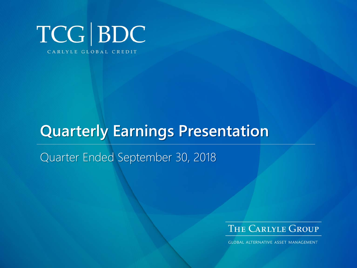

# **Quarterly Earnings Presentation**

Quarter Ended September 30, 2018



**GLOBAL ALTERNATIVE ASSET MANAGEMENT**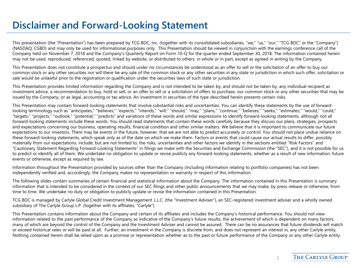#### **Disclaimer and Forward-Looking Statement**

This presentation (the "Presentation") has been prepared by TCG BDC, Inc. (together with its consolidated subsidiaries, "we," "us," "our," "TCG BDC" or the "Company") (NASDAQ: CGBD) and may only be used for informational purposes only. This Presentation should be viewed in conjunction with the earnings conference call of the Company held on November 7, 2018 and the Company's Quarterly Report on Form 10-Q for the quarter ended September 30, 2018. The information contained herein may not be used, reproduced, referenced, quoted, linked by website, or distributed to others, in whole or in part, except as agreed in writing by the Company.

This Presentation does not constitute a prospectus and should under no circumstances be understood as an offer to sell or the solicitation of an offer to buy our common stock or any other securities nor will there be any sale of the common stock or any other securities in any state or jurisdiction in which such offer, solicitation or sale would be unlawful prior to the registration or qualification under the securities laws of such state or jurisdiction.

This Presentation provides limited information regarding the Company and is not intended to be taken by, and should not be taken by, any individual recipient as investment advice, a recommendation to buy, hold or sell, or an offer to sell or a solicitation of offers to purchase, our common stock or any other securities that may be issued by the Company, or as legal, accounting or tax advice. An investment in securities of the type described herein presents certain risks.

This Presentation may contain forward-looking statements that involve substantial risks and uncertainties. You can identify these statements by the use of forwardlooking terminology such as "anticipates," "believes," "expects," "intends," "will," "should," "may," "plans," "continue," "believes," "seeks," "estimates," "would," "could," "targets," "projects," "outlook," "potential," "predicts" and variations of these words and similar expressions to identify forward-looking statements, although not all forward-looking statements include these words. You should read statements that contain these words carefully because they discuss our plans, strategies, prospects and expectations concerning our business, operating results, financial condition and other similar matters. We believe that it is important to communicate our future expectations to our investors. There may be events in the future, however, that we are not able to predict accurately or control. You should not place undue reliance on these forward-looking statements, which speak only as of the date on which we make them. Factors or events that could cause our actual results to differ, possibly materially from our expectations, include, but are not limited to, the risks, uncertainties and other factors we identify in the sections entitled "Risk Factors" and "Cautionary Statement Regarding Forward-Looking Statements" in filings we make with the Securities and Exchange Commission (the "SEC"), and it is not possible for us to predict or identify all of them. We undertake no obligation to update or revise publicly any forward-looking statements, whether as a result of new information, future events or otherwise, except as required by law.

Information throughout the Presentation provided by sources other than the Company (including information relating to portfolio companies) has not been independently verified and, accordingly, the Company makes no representation or warranty in respect of this information.

The following slides contain summaries of certain financial and statistical information about the Company. The information contained in this Presentation is summary information that is intended to be considered in the context of our SEC filings and other public announcements that we may make, by press release or otherwise, from time to time. We undertake no duty or obligation to publicly update or revise the information contained in this Presentation.

TCG BDC is managed by Carlyle Global Credit Investment Management L.L.C. (the "Investment Adviser"), an SEC-registered investment adviser and a wholly owned subsidiary of The Carlyle Group L.P. (together with its affiliates, "Carlyle").

This Presentation contains information about the Company and certain of its affiliates and includes the Company's historical performance. You should not view information related to the past performance of the Company as indicative of the Company's future results, the achievement of which is dependent on many factors, many of which are beyond the control of the Company and the Investment Adviser and cannot be assured. There can be no assurances that future dividends will match or exceed historical rates or will be paid at all. Further, an investment in the Company is discrete from, and does not represent an interest in, any other Carlyle entity. Nothing contained herein shall be relied upon as a promise or representation whether as to the past or future performance of the Company or any other Carlyle entity.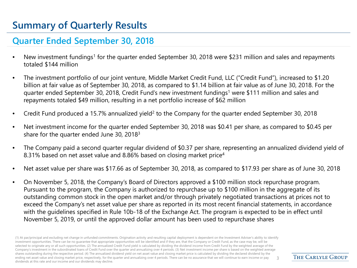## **Summary of Quarterly Results**

#### **Quarter Ended September 30, 2018**

- New investment fundings<sup>1</sup> for the quarter ended September 30, 2018 were \$231 million and sales and repayments totaled \$144 million
- The investment portfolio of our joint venture, Middle Market Credit Fund, LLC ("Credit Fund"), increased to \$1.20 billion at fair value as of September 30, 2018, as compared to \$1.14 billion at fair value as of June 30, 2018. For the quarter ended September 30, 2018, Credit Fund's new investment fundings1 were \$111 million and sales and repayments totaled \$49 million, resulting in a net portfolio increase of \$62 million
- Example 15.7% annualized yield<sup>2</sup> to the Company for the quarter ended September 30, 2018
- Net investment income for the quarter ended September 30, 2018 was \$0.41 per share, as compared to \$0.45 per share for the quarter ended June 30, 20183
- The Company paid a second quarter regular dividend of \$0.37 per share, representing an annualized dividend yield of 8.31% based on net asset value and 8.86% based on closing market price<sup>4</sup>
- Net asset value per share was \$17.66 as of September 30, 2018, as compared to \$17.93 per share as of June 30, 2018
- On November 5, 2018, the Company's Board of Directors approved a \$100 million stock repurchase program. Pursuant to the program, the Company is authorized to repurchase up to \$100 million in the aggregate of its outstanding common stock in the open market and/or through privately negotiated transactions at prices not to exceed the Company's net asset value per share as reported in its most recent financial statements, in accordance with the guidelines specified in Rule 10b-18 of the Exchange Act. The program is expected to be in effect until November 5, 2019, or until the approved dollar amount has been used to repurchase shares

(1) At par/principal and excluding net change in unfunded commitments. Origination activity and resulting capital deployment is dependent on the Investment Adviser's ability to identify investment opportunities. There can be no guarantee that appropriate opportunities will be identified and if they are, that the Company or Credit Fund, as the case may be, will be selected to originate any or all such opportunities. (2) The annualized Credit Fund yield is calculated by dividing the dividend income from Credit Fund by the weighted average of the Company's investment in the subordinated loans of Credit Fund over the quarter and annualizing over 4 periods. (3) Net investment income per share is based on the weighted average shares outstanding during the respective period. (4) The annualized dividend yield on net asset value and closing market price is calculated by dividing the declared dividend by the ending net asset value and closing market price, respectively, for the quarter and annualizing over 4 periods. There can be no assurance that we will continue to earn income or pay dividends at this rate and our income and our dividends may decline. 3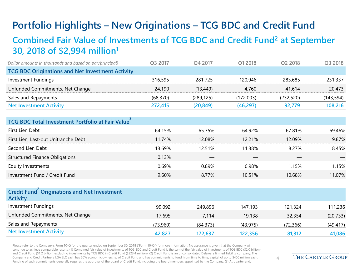# **Portfolio Highlights – New Originations – TCG BDC and Credit Fund**

#### **Combined Fair Value of Investments of TCG BDC and Credit Fund2 at September 30, 2018 of \$2,994 million1**

| (Dollar amounts in thousands and based on par/principal) | O3 2017  | O4 2017    | O1 2018   | O <sub>2</sub> 2018 | Q3 2018    |
|----------------------------------------------------------|----------|------------|-----------|---------------------|------------|
| <b>TCG BDC Originations and Net Investment Activity</b>  |          |            |           |                     |            |
| Investment Fundings                                      | 316,595  | 281.725    | 120.946   | 283,685             | 231,337    |
| Unfunded Commitments, Net Change                         | 24,190   | (13,449)   | 4.760     | 41.614              | 20,473     |
| Sales and Repayments                                     | (68.370) | (289, 125) | (172.003) | (232, 520)          | (143, 594) |
| <b>Net Investment Activity</b>                           | 272,415  | (20.849)   | (46, 297) | 92.779              | 108,216    |

| <b>TCG BDC Total Investment Portfolio at Fair Value</b> |        |        |        |        |        |
|---------------------------------------------------------|--------|--------|--------|--------|--------|
| First Lien Debt                                         | 64.15% | 65.75% | 64.92% | 67.81% | 69.46% |
| First Lien, Last-out Unitranche Debt                    | 11.74% | 12 08% | 12 21% | 12.09% | 9.87%  |
| Second Lien Debt                                        | 13.69% | 12.51% | 11 38% | 8.27%  | 845%   |
| <b>Structured Finance Obligations</b>                   | 0.13%  |        |        |        |        |
| Equity Investments                                      | በ 69%  | በ ጸዓ%  | ገ ዓጸ%  | 15%    | 15%    |
| Investment Fund / Credit Fund                           | 9.60%  | 8.77%  | 1በ 51% | 10 68% | 1 በ7%  |
|                                                         |        |        |        |        |        |

| Credit Fund Originations and Net Investment<br><b>Activity</b> |          |           |          |          |           |
|----------------------------------------------------------------|----------|-----------|----------|----------|-----------|
| <b>Investment Fundings</b>                                     | 99.092   | 249.896   | 147.193  | 121.324  | 111,236   |
| Unfunded Commitments, Net Change                               | 17.695   | 7.114     | 19.138   | 32,354   | (20, 733) |
| Sales and Repayments                                           | (73,960) | (84, 373) | (43.975) | (72,366) | (49, 417) |
| <b>Net Investment Activity</b>                                 | 42,827   | 172.637   | 122.356  | 81,312   | 41,086    |

Please refer to the Company's Form 10-Q for the quarter ended on September 30, 2018 ("Form 10-Q") for more information. No assurance is given that the Company will continue to achieve comparable results. (1) Combined fair value of investments of TCG BDC and Credit Fund is the sum of the fair value of investments of TCG BDC (\$2.0 billion) and Credit Fund (\$1.2 billion) excluding investments by TCG BDC in Credit Fund (\$223.4 million). (2) Credit Fund is an unconsolidated Delaware limited liability company. The Company and Credit Partners USA LLC each has 50% economic ownership of Credit Fund and has commitments to fund, from time to time, capital of up to \$400 million each. Funding of such commitments generally requires the approval of the board of Credit Fund, including the board members appointed by the Company. (3) At quarter end.

 $\Delta$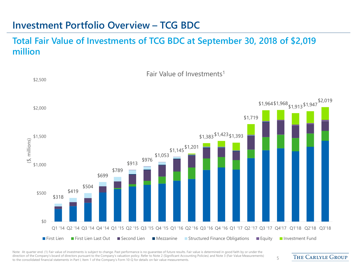#### **Investment Portfolio Overview – TCG BDC**

#### **Total Fair Value of Investments of TCG BDC at September 30, 2018 of \$2,019 million**



Note: At quarter end. (1) Fair value of investments is subject to change. Past performance is no guarantee of future results. Fair value is determined in good faith by or under the direction of the Company's board of directors pursuant to the Company's valuation policy. Refer to Note 2 (Significant Accounting Policies) and Note 3 (Fair Value Measurements) airection of the Company's board of directors pursuant to the Company's valuation policy. Refer to Note 2 (Significant Accounting Policies) and Note 3 (Fair Value Measurements) 5<br>to the consolidated financial statements in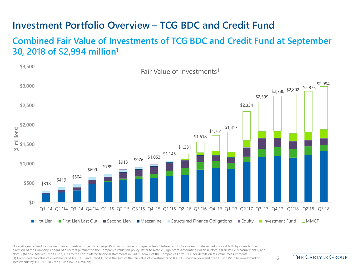#### **Investment Portfolio Overview – TCG BDC and Credit Fund**

#### **Combined Fair Value of Investments of TCG BDC and Credit Fund at September 30, 2018 of \$2,994 million1**



Note: At quarter end. Fair value of investments is subject to change. Past performance is no quarantee of future results. Fair value is determined in good faith by or under the direction of the Company's board of directors pursuant to the Company's valuation policy. Refer to Note 2 (Significant Accounting Policies), Note 3 (Fair Value Measurements), and Note 5 (Middle Market Credit Fund, LLC) to the consolidated financial statements in Part 1, Item 1 of the Company's Form 10-Q for details on fair value measurements. (1) Combined fair value of investments of TCG BDC and Credit Fund is the sum of the fair value of investments of TCG BDC (\$2.0 billion) and Credit Fund (\$1.2 billion) excluding investments by TCG BDC in Credit Fund (\$223.4 million).

**THE CARLYLE GROUP**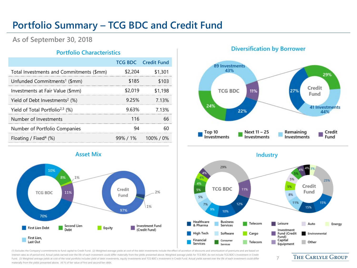#### **Portfolio Summary – TCG BDC and Credit Fund**

**As of September 30, 2018**

#### **Portfolio Characteristics**

|                                               |         | <b>TCG BDC</b> Credit Fund |
|-----------------------------------------------|---------|----------------------------|
| Total Investments and Commitments (\$mm)      | \$2,204 | \$1,301                    |
| Unfunded Commitments <sup>1</sup> (\$mm)      | \$185   | \$103                      |
| Investments at Fair Value (\$mm)              | \$2,019 | \$1,198                    |
| Yield of Debt Investments <sup>2</sup> $(\%)$ | 9.25%   | 7 1 3 %                    |
| Yield of Total Portfolio <sup>2,3</sup> (%)   | 9.63%   | 7 1 3 %                    |
| Number of Investments                         | 116     | 66                         |
| Number of Portfolio Companies                 | 94      | 60                         |
| Floating / Fixed <sup>4</sup> (%)             |         | 99%/1% 100%/0%             |



#### **Diversification by Borrower**



**Industry** 



7

(1) Excludes the Company's commitments to fund capital to Credit Fund. (2) Weighted average yields at cost of the debt investments include the effect of accretion of discounts and amortization of premiums and are based on interest rates as of period end. Actual yields earned over the life of each investment could differ materially from the yields presented above. Weighted average yields for TCG BDC do not include TCG BDC's investment in Cre Fund. (3) Weighted average yields at cost of the total portfolio includes yield of debt investments, equity investments and TCG BDC's investment in Credit Fund. Actual yields earned over the life of each investment could d materially from the yields presented above. (4) % of fair value of first and second lien debt.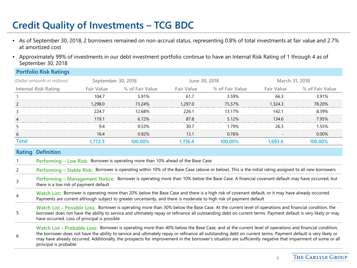# **Credit Quality of Investments – TCG BDC**

**Portfolio Risk Ratings**

- As of September 30, 2018, 2 borrowers remained on non-accrual status, representing 0.8% of total investments at fair value and 2.7% at amortized cost
- Approximately 99% of investments in our debt investment portfolio continue to have an Internal Risk Rating of 1 through 4 as of September 30, 2018

|              | PORTIONO RISK RATINGS                                                                                                                                                                                                                                                                                                                                                                                                                                                                                        |                    |                                                                                                                                                                                                                                                                           |                   |                 |                   |                 |
|--------------|--------------------------------------------------------------------------------------------------------------------------------------------------------------------------------------------------------------------------------------------------------------------------------------------------------------------------------------------------------------------------------------------------------------------------------------------------------------------------------------------------------------|--------------------|---------------------------------------------------------------------------------------------------------------------------------------------------------------------------------------------------------------------------------------------------------------------------|-------------------|-----------------|-------------------|-----------------|
|              | (Dollar amounts in millions)                                                                                                                                                                                                                                                                                                                                                                                                                                                                                 | September 30, 2018 |                                                                                                                                                                                                                                                                           | June 30, 2018     |                 | March 31, 2018    |                 |
|              | <b>Internal Risk Rating</b>                                                                                                                                                                                                                                                                                                                                                                                                                                                                                  | <b>Fair Value</b>  | % of Fair Value                                                                                                                                                                                                                                                           | <b>Fair Value</b> | % of Fair Value | <b>Fair Value</b> | % of Fair Value |
|              |                                                                                                                                                                                                                                                                                                                                                                                                                                                                                                              | 104.7              | 5.91%                                                                                                                                                                                                                                                                     | 61.7              | 3.59%           | 66.3              | 3.91%           |
| 2            |                                                                                                                                                                                                                                                                                                                                                                                                                                                                                                              | 1,298.0            | 73.24%                                                                                                                                                                                                                                                                    | 1,297.0           | 75.57%          | 1,324.3           | 78.20%          |
| 3            |                                                                                                                                                                                                                                                                                                                                                                                                                                                                                                              | 224.7              | 12.68%                                                                                                                                                                                                                                                                    | 226.1             | 13.17%          | 142.1             | 8.39%           |
| 4            |                                                                                                                                                                                                                                                                                                                                                                                                                                                                                                              | 119.1              | 6.72%                                                                                                                                                                                                                                                                     | 87.8              | 5.12%           | 134.6             | 7.95%           |
|              |                                                                                                                                                                                                                                                                                                                                                                                                                                                                                                              | 9.4                | 0.53%                                                                                                                                                                                                                                                                     | 30.7              | 1.79%           | 26.3              | 1.55%           |
| 6            |                                                                                                                                                                                                                                                                                                                                                                                                                                                                                                              | 16.4               | 0.92%                                                                                                                                                                                                                                                                     | 13.1              | 0.76%           |                   | 0.00%           |
| <b>Total</b> |                                                                                                                                                                                                                                                                                                                                                                                                                                                                                                              | 1,772.3            | 100.00%                                                                                                                                                                                                                                                                   | 1,716.4           | 100.00%         | 1,693.6           | 100.00%         |
| Rating       | <b>Definition</b>                                                                                                                                                                                                                                                                                                                                                                                                                                                                                            |                    |                                                                                                                                                                                                                                                                           |                   |                 |                   |                 |
|              |                                                                                                                                                                                                                                                                                                                                                                                                                                                                                                              |                    | Performing - Low Risk: Borrower is operating more than 10% ahead of the Base Case                                                                                                                                                                                         |                   |                 |                   |                 |
|              |                                                                                                                                                                                                                                                                                                                                                                                                                                                                                                              |                    | Performing - Stable Risk: Borrower is operating within 10% of the Base Case (above or below). This is the initial rating assigned to all new borrowers                                                                                                                    |                   |                 |                   |                 |
| 3            | there is a low risk of payment default                                                                                                                                                                                                                                                                                                                                                                                                                                                                       |                    | Performing - Management Notice: Borrower is operating more than 10% below the Base Case. A financial covenant default may have occurred, but                                                                                                                              |                   |                 |                   |                 |
| 4            |                                                                                                                                                                                                                                                                                                                                                                                                                                                                                                              |                    | Watch List: Borrower is operating more than 20% below the Base Case and there is a high risk of covenant default, or it may have already occurred.<br>Payments are current although subject to greater uncertainty, and there is moderate to high risk of payment default |                   |                 |                   |                 |
| 5.           | Watch List - Possible Loss: Borrower is operating more than 30% below the Base Case. At the current level of operations and financial condition, the<br>borrower does not have the ability to service and ultimately repay or refinance all outstanding debt on current terms. Payment default is very likely or may<br>have occurred. Loss of principal is possible                                                                                                                                         |                    |                                                                                                                                                                                                                                                                           |                   |                 |                   |                 |
| 6            | Watch List – Probable Loss: Borrower is operating more than 40% below the Base Case, and at the current level of operations and financial condition,<br>the borrower does not have the ability to service and ultimately repay or refinance all outstanding debt on current terms. Payment default is very likely or<br>may have already occurred. Additionally, the prospects for improvement in the borrower's situation are sufficiently negative that impairment of some or all<br>principal is probable |                    |                                                                                                                                                                                                                                                                           |                   |                 |                   |                 |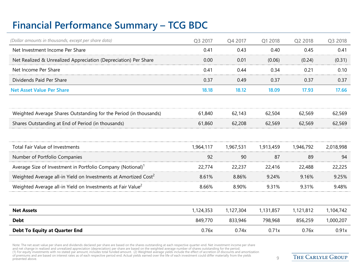### **Financial Performance Summary – TCG BDC**

| (Dollar amounts in thousands, except per share data)                        | Q3 2017   | Q4 2017   | Q1 2018   | Q2 2018   | Q3 2018   |
|-----------------------------------------------------------------------------|-----------|-----------|-----------|-----------|-----------|
| Net Investment Income Per Share                                             | 0.41      | 0.43      | 0.40      | 0.45      | 0.41      |
| Net Realized & Unrealized Appreciation (Depreciation) Per Share             | 0.00      | 0.01      | (0.06)    | (0.24)    | (0.31)    |
| Net Income Per Share                                                        | 0.41      | 0.44      | 0.34      | 0.21      | 0.10      |
| Dividends Paid Per Share                                                    | 0.37      | 0.49      | 0.37      | 0.37      | 0.37      |
| <b>Net Asset Value Per Share</b>                                            | 18.18     | 18.12     | 18.09     | 17.93     | 17.66     |
|                                                                             |           |           |           |           |           |
| Weighted Average Shares Outstanding for the Period (in thousands)           | 61,840    | 62,143    | 62,504    | 62,569    | 62,569    |
| Shares Outstanding at End of Period (in thousands)                          | 61,860    | 62,208    | 62,569    | 62,569    | 62,569    |
|                                                                             |           |           |           |           |           |
| Total Fair Value of Investments                                             | 1,964,117 | 1,967,531 | 1,913,459 | 1,946,792 | 2,018,998 |
| Number of Portfolio Companies                                               | 92        | 90        | 87        | 89        | 94        |
| Average Size of Investment in Portfolio Company (Notional) <sup>1</sup>     | 22,774    | 22,237    | 22,416    | 22,488    | 22,225    |
| Weighted Average all-in Yield on Investments at Amortized Cost <sup>2</sup> | 8.61%     | 8.86%     | 9.24%     | 9.16%     | 9.25%     |
| Weighted Average all-in Yield on Investments at Fair Value <sup>2</sup>     | 8.66%     | 8.90%     | 9.31%     | 9.31%     | 9.48%     |
|                                                                             |           |           |           |           |           |
| <b>Net Assets</b>                                                           | 1,124,353 | 1,127,304 | 1,131,857 | 1,121,812 | 1,104,742 |
| <b>Debt</b>                                                                 | 849,770   | 833,946   | 798,968   | 856,259   | 1,000,207 |
| <b>Debt To Equity at Quarter End</b>                                        | 0.76x     | 0.74x     | 0.71x     | 0.76x     | 0.91x     |

Note: The net asset value per share and dividends declared per share are based on the shares outstanding at each respective quarter-end. Net investment income per share<br>and net change in realized and unrealized appreciatio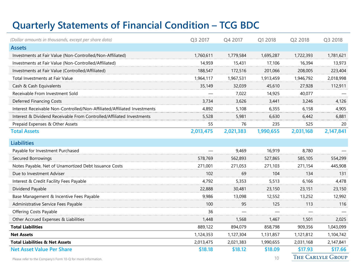## **Quarterly Statements of Financial Condition – TCG BDC**

| (Dollar amounts in thousands, except per share data)                     | Q3 2017   | Q4 2017   | Q1 2018   | Q2 2018   | Q3 2018                  |
|--------------------------------------------------------------------------|-----------|-----------|-----------|-----------|--------------------------|
| <b>Assets</b>                                                            |           |           |           |           |                          |
| Investments at Fair Value (Non-Controlled/Non-Affiliated)                | 1,760,611 | 1,779,584 | 1,695,287 | 1,722,393 | 1,781,621                |
| Investments at Fair Value (Non-Controlled/Affiliated)                    | 14,959    | 15,431    | 17,106    | 16,394    | 13,973                   |
| Investments at Fair Value (Controlled/Affiliated)                        | 188,547   | 172,516   | 201,066   | 208,005   | 223,404                  |
| Total Investments at Fair Value                                          | 1,964,117 | 1,967,531 | 1,913,459 | 1,946,792 | 2,018,998                |
| Cash & Cash Equivalents                                                  | 35,149    | 32,039    | 45,610    | 27,928    | 112,911                  |
| Receivable From Investment Sold                                          |           | 7,022     | 14,925    | 40,077    |                          |
| Deferred Financing Costs                                                 | 3,734     | 3,626     | 3,441     | 3,246     | 4,126                    |
| Interest Receivable Non-Controlled/Non-Affiliated/Affiliated Investments | 4,892     | 5,108     | 6,355     | 6,158     | 4,905                    |
| Interest & Dividend Receivable From Controlled/Affiliated Investments    | 5,528     | 5,981     | 6,630     | 6,442     | 6,881                    |
| Prepaid Expenses & Other Assets                                          | 55        | 76        | 235       | 525       | 20                       |
| <b>Total Assets</b>                                                      | 2,013,475 | 2,021,383 | 1,990,655 | 2,031,168 | 2,147,841                |
| <b>Liabilities</b>                                                       |           |           |           |           |                          |
| Payable for Investment Purchased                                         |           | 9,469     | 16,919    | 8,780     |                          |
| Secured Borrowings                                                       | 578,769   | 562,893   | 527,865   | 585,105   | 554,299                  |
| Notes Payable, Net of Unamortized Debt Issuance Costs                    | 271,001   | 271,053   | 271,103   | 271,154   | 445,908                  |
| Due to Investment Adviser                                                | 102       | 69        | 104       | 134       | 131                      |
| Interest & Credit Facility Fees Payable                                  | 4,792     | 5,353     | 5,513     | 6,166     | 4,478                    |
| Dividend Payable                                                         | 22,888    | 30,481    | 23,150    | 23,151    | 23,150                   |
| Base Management & Incentive Fees Payable                                 | 9,986     | 13,098    | 12,552    | 13,252    | 12,992                   |
| Administrative Service Fees Payable                                      | 100       | 95        | 125       | 113       | 116                      |
| Offering Costs Payable                                                   | 36        |           |           |           |                          |
| Other Accrued Expenses & Liabilities                                     | 1,448     | 1,568     | 1,467     | 1,501     | 2,025                    |
| <b>Total Liabilities</b>                                                 | 889,122   | 894,079   | 858,798   | 909,356   | 1,043,099                |
| <b>Net Assets</b>                                                        | 1,124,353 | 1,127,304 | 1,131,857 | 1,121,812 | 1,104,742                |
| <b>Total Liabilities &amp; Net Assets</b>                                | 2,013,475 | 2,021,383 | 1,990,655 | 2,031,168 | 2,147,841                |
| <b>Net Asset Value Per Share</b>                                         | \$18.18   | \$18.12   | \$18.09   | \$17.93   | \$17.66                  |
| Please refer to the Company's Form 10-Q for more information.            |           |           | 10        |           | <b>THE CARLYLE GROUP</b> |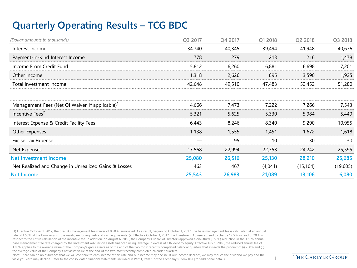## **Quarterly Operating Results – TCG BDC**

| (Dollar amounts in thousands)                               | Q3 2017 | Q4 2017 | Q1 2018 | Q2 2018   | Q3 2018  |
|-------------------------------------------------------------|---------|---------|---------|-----------|----------|
| Interest Income                                             | 34,740  | 40,345  | 39,494  | 41,948    | 40,676   |
| Payment-In-Kind Interest Income                             | 778     | 279     | 213     | 216       | 1,478    |
| Income From Credit Fund                                     | 5,812   | 6,260   | 6,881   | 6,698     | 7,201    |
| Other Income                                                | 1,318   | 2,626   | 895     | 3,590     | 1,925    |
| Total Investment Income                                     | 42,648  | 49,510  | 47,483  | 52,452    | 51,280   |
|                                                             |         |         |         |           |          |
| Management Fees (Net Of Waiver, if applicable) <sup>1</sup> | 4,666   | 7,473   | 7.222   | 7.266     | 7,543    |
| Incentive Fees <sup>2</sup>                                 | 5,321   | 5,625   | 5,330   | 5,984     | 5,449    |
| Interest Expense & Credit Facility Fees                     | 6,443   | 8,246   | 8,340   | 9,290     | 10,955   |
| Other Expenses                                              | 1,138   | 1,555   | 1,451   | 1,672     | 1,618    |
| <b>Excise Tax Expense</b>                                   |         | 95      | 10      | 30        | 30       |
| Net Expenses                                                | 17,568  | 22,994  | 22,353  | 24,242    | 25,595   |
| <b>Net Investment Income</b>                                | 25,080  | 26,516  | 25,130  | 28,210    | 25,685   |
| Net Realized and Change in Unrealized Gains & Losses        | 463     | 467     | (4,041) | (15, 104) | (19,605) |
| <b>Net Income</b>                                           | 25,543  | 26,983  | 21,089  | 13,106    | 6,080    |

(1) Effective October 1, 2017, the pre-IPO management fee waiver of 0.50% terminated. As a result, beginning October 1, 2017, the base management fee is calculated at an annual rate of 1.50% of the Company's gross assets, excluding cash and cash equivalents. (2) Effective October 1, 2017, the Investment Adviser agreed to charge 17.5% instead of 20% with respect to the entire calculation of the incentive fee. In addition, on August 6, 2018, the Company's Board of Directors approved a one-third (0.50%) reduction in the 1.50% annual base management fee rate charged by the Investment Adviser on assets financed using leverage in excess of 1.0x debt to equity. Effective July 1, 2018, the reduced annual fee of 1.00% applies to the average value of the Company's gross assets as of the end of the two most recently completed calendar quarters that exceeds the product of (i) 200% and (ii) the average value of the Company's net asset value at the end of the two most recently completed calendar quarters.

Note: There can be no assurance that we will continue to earn income at this rate and our income may decline. If our income declines, we may reduce the dividend we pay and the yield you earn may decline. Refer to the consolidated financial statements included in Part 1, Item 1 of the Company's Form 10-Q for additional details. 11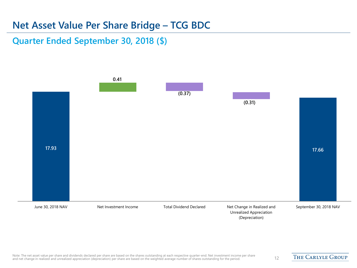#### **Net Asset Value Per Share Bridge – TCG BDC**

**Quarter Ended September 30, 2018 (\$)**

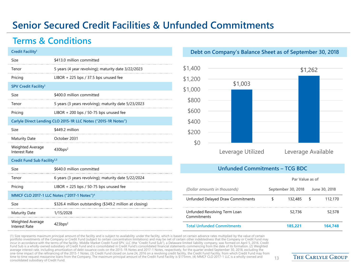### **Senior Secured Credit Facilities & Unfunded Commitments**

#### **Terms & Conditions**

| Credit Facility <sup>1</sup>                    |                                                                |
|-------------------------------------------------|----------------------------------------------------------------|
| Size                                            | \$413.0 million committed                                      |
| Tenor                                           | 5 years (4 year revolving); maturity date 3/22/2023            |
| Pricing                                         | LIBOR $+$ 225 bps / 37.5 bps unused fee                        |
| SPV Credit Facility <sup>1</sup>                |                                                                |
| Size                                            | \$400.0 million committed                                      |
| Tenor                                           | 5 years (3 years revolving); maturity date 5/23/2023           |
| Pricing                                         | LIBOR $+$ 200 bps / 50-75 bps unused fee                       |
|                                                 | Carlyle Direct Lending CLO 2015-1R LLC Notes ("2015-1R Notes") |
| Size                                            | \$449.2 million                                                |
| <b>Maturity Date</b>                            | October 2031                                                   |
| Weighted Average<br><b>Interest Rate</b>        | 430bps <sup>2</sup>                                            |
| Credit Fund Sub Facility <sup>1,3</sup>         |                                                                |
| Size                                            | \$640.0 million committed                                      |
| Tenor                                           | 6 years (3 years revolving); maturity date 5/22/2024           |
| Pricing                                         | LIBOR + 225 bps / 50-75 bps unused fee                         |
|                                                 | MMCF CLO 2017-1 LLC Notes ("2017-1 Notes") <sup>4</sup>        |
| Size                                            | \$326.4 million outstanding (\$349.2 million at closing)       |
| <b>Maturity Date</b>                            | 1/15/2028                                                      |
| <b>Weighted Average</b><br><b>Interest Rate</b> | 423bps <sup>2</sup>                                            |

#### **Debt on Company's Balance Sheet as of September 30, 2018**



#### **Unfunded Commitments – TCG BDC**

| (Dollar amounts in thousands)               | September 30, 2018 |         |   | June 30, 2018 |
|---------------------------------------------|--------------------|---------|---|---------------|
| Unfunded Delayed Draw Commitments           | S                  | 132,485 | S | 112,170       |
| Unfunded Revolving Term Loan<br>Commitments |                    | 52,736  |   | 52,578        |
| <b>Total Unfunded Commitments</b>           |                    | 185.221 |   | 164.748       |

(1) Size represents maximum principal amount of the facility and is subject to availability under the facility, which is based on certain advance rates multiplied by the value of certain portfolio investments of the Company or Credit Fund (subject to certain concentration limitations) and may be net of certain other indebtedness that the Company or Credit Fund may incur in accordance with the terms of the facility. Middle Market Credit Fund SPV, LLC (the "Credit Fund Sub"), a Delaware limited liability company, was formed on April 5, 2016. Credit<br>Fund Sub is a wholly-owned subsidiar one-time impact of the refinancing of the 2015-1 Notes. (3) Credit Fund closed on June 24, 2016 on a revolving credit facility, the Credit Fund Facility, from which Credit Fund may from time to time request mezzanine Ioans from the Company. The maximum principal amount of the Credit Fund Facility is \$175mm. (4) MMCF CLO 2017-1 LLC is a wholly-owned and  $\,13$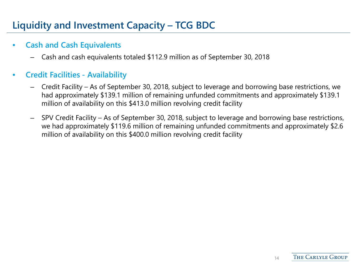## **Liquidity and Investment Capacity – TCG BDC**

#### • **Cash and Cash Equivalents**

– Cash and cash equivalents totaled \$112.9 million as of September 30, 2018

#### • **Credit Facilities - Availability**

- Credit Facility As of September 30, 2018, subject to leverage and borrowing base restrictions, we had approximately \$139.1 million of remaining unfunded commitments and approximately \$139.1 million of availability on this \$413.0 million revolving credit facility
- SPV Credit Facility As of September 30, 2018, subject to leverage and borrowing base restrictions, we had approximately \$119.6 million of remaining unfunded commitments and approximately \$2.6 million of availability on this \$400.0 million revolving credit facility